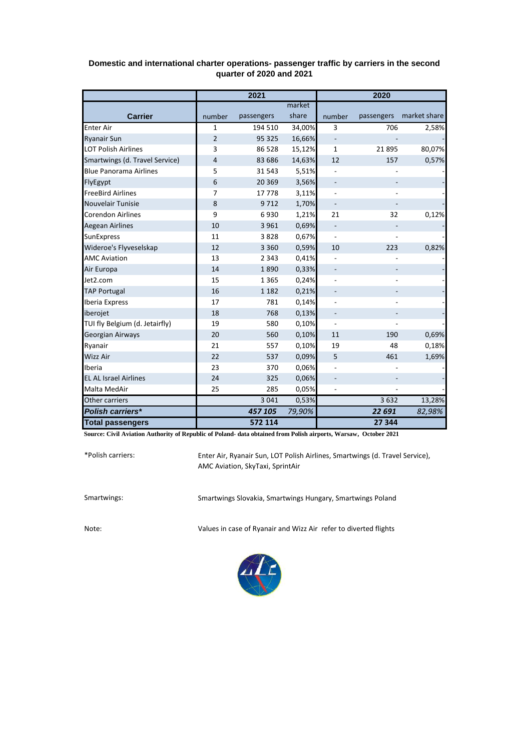|                                | 2021   |            |        | 2020                     |            |              |
|--------------------------------|--------|------------|--------|--------------------------|------------|--------------|
|                                |        |            | market |                          |            |              |
| <b>Carrier</b>                 | number | passengers | share  | number                   | passengers | market share |
| <b>Enter Air</b>               | 1      | 194 510    | 34,00% | 3                        | 706        | 2,58%        |
| <b>Ryanair Sun</b>             | 2      | 95 325     | 16,66% |                          |            |              |
| <b>LOT Polish Airlines</b>     | 3      | 86 5 28    | 15,12% | 1                        | 21895      | 80,07%       |
| Smartwings (d. Travel Service) | 4      | 83 686     | 14,63% | 12                       | 157        | 0,57%        |
| <b>Blue Panorama Airlines</b>  | 5      | 31 543     | 5,51%  |                          |            |              |
| FlyEgypt                       | 6      | 20 3 69    | 3,56%  |                          |            |              |
| <b>FreeBird Airlines</b>       | 7      | 17778      | 3,11%  |                          |            |              |
| Nouvelair Tunisie              | 8      | 9712       | 1,70%  |                          |            |              |
| <b>Corendon Airlines</b>       | 9      | 6930       | 1,21%  | 21                       | 32         | 0,12%        |
| <b>Aegean Airlines</b>         | 10     | 3 9 6 1    | 0,69%  |                          |            |              |
| <b>SunExpress</b>              | 11     | 3828       | 0,67%  |                          |            |              |
| Wideroe's Flyveselskap         | 12     | 3 3 6 0    | 0,59%  | 10                       | 223        | 0,82%        |
| <b>AMC Aviation</b>            | 13     | 2 3 4 3    | 0,41%  |                          |            |              |
| Air Europa                     | 14     | 1890       | 0,33%  |                          |            |              |
| Jet2.com                       | 15     | 1 3 6 5    | 0,24%  |                          |            |              |
| <b>TAP Portugal</b>            | 16     | 1 1 8 2    | 0,21%  |                          |            |              |
| Iberia Express                 | 17     | 781        | 0,14%  |                          |            |              |
| iberojet                       | 18     | 768        | 0,13%  |                          |            |              |
| TUI fly Belgium (d. Jetairfly) | 19     | 580        | 0,10%  |                          |            |              |
| Georgian Airways               | 20     | 560        | 0,10%  | 11                       | 190        | 0,69%        |
| Ryanair                        | 21     | 557        | 0,10%  | 19                       | 48         | 0,18%        |
| <b>Wizz Air</b>                | 22     | 537        | 0,09%  | 5                        | 461        | 1,69%        |
| Iberia                         | 23     | 370        | 0,06%  |                          |            |              |
| <b>EL AL Israel Airlines</b>   | 24     | 325        | 0,06%  | $\overline{\phantom{0}}$ |            |              |
| Malta MedAir                   | 25     | 285        | 0,05%  |                          |            |              |
| Other carriers                 |        | 3 0 4 1    | 0,53%  |                          | 3632       | 13,28%       |
| <b>Polish carriers*</b>        |        | 457 105    | 79,90% |                          | 22 691     | 82,98%       |
| <b>Total passengers</b>        |        | 572 114    |        |                          | 27 344     |              |

## **Domestic and international charter operations- passenger traffic by carriers in the second quarter of 2020 and 2021**

**Source: Civil Aviation Authority of Republic of Poland- data obtained from Polish airports, Warsaw, October 2021**

\*Polish carriers:

Enter Air, Ryanair Sun, LOT Polish Airlines, Smartwings (d. Travel Service), AMC Aviation, SkyTaxi, SprintAir

Smartwings: Smartwings Slovakia, Smartwings Hungary, Smartwings Poland

Note: Values in case of Ryanair and Wizz Air refer to diverted flights